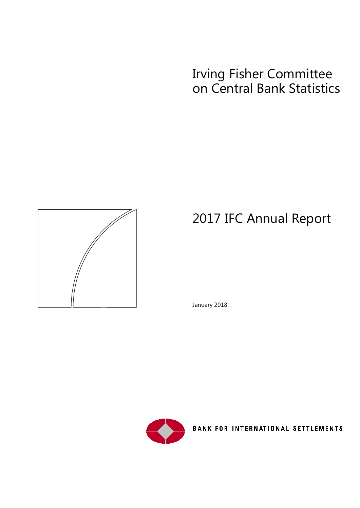# Irving Fisher Committee on Central Bank Statistics



# 2017 IFC Annual Report

January 2018



**BANK FOR INTERNATIONAL SETTLEMENTS**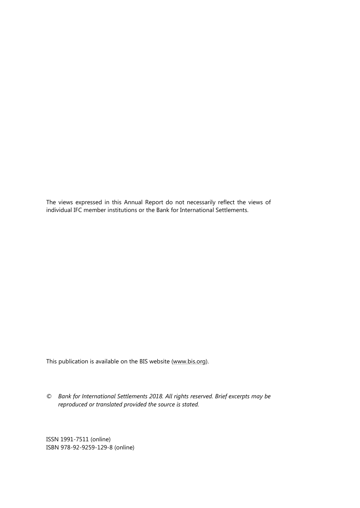The views expressed in this Annual Report do not necessarily reflect the views of individual IFC member institutions or the Bank for International Settlements.

This publication is available on the BIS website [\(www.bis.org\)](http://www.bis.org/).

*© Bank for International Settlements 2018. All rights reserved. Brief excerpts may be reproduced or translated provided the source is stated.*

ISSN 1991-7511 (online) ISBN 978-92-9259-129-8 (online)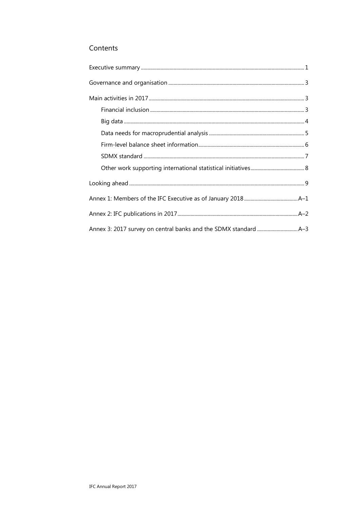### Contents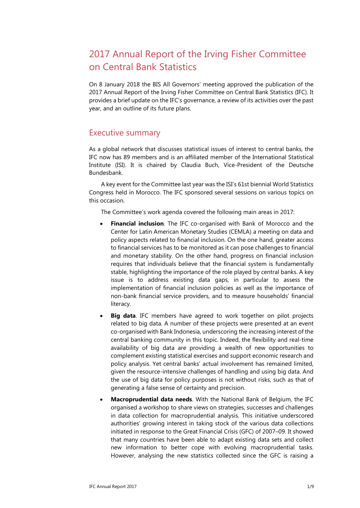# 2017 Annual Report of the Irving Fisher Committee on Central Bank Statistics

On 8 January 2018 the BIS All Governors' meeting approved the publication of the 2017 Annual Report of the Irving Fisher Committee on Central Bank Statistics (IFC). It provides a brief update on the IFC's governance, a review of its activities over the past year, and an outline of its future plans.

### <span id="page-4-0"></span>Executive summary

As a global network that discusses statistical issues of interest to central banks, the IFC now has 89 members and is an affiliated member of the International Statistical Institute (ISI). It is chaired by Claudia Buch, Vice-President of the Deutsche Bundesbank.

A key event for the Committee last year was the ISI's 61st biennial World Statistics Congress held in Morocco. The IFC sponsored several sessions on various topics on this occasion.

The Committee's work agenda covered the following main areas in 2017:

- **Financial inclusion**. The IFC co-organised with Bank of Morocco and the Center for Latin American Monetary Studies (CEMLA) a meeting on data and policy aspects related to financial inclusion. On the one hand, greater access to financial services has to be monitored as it can pose challenges to financial and monetary stability. On the other hand, progress on financial inclusion requires that individuals believe that the financial system is fundamentally stable, highlighting the importance of the role played by central banks. A key issue is to address existing data gaps, in particular to assess the implementation of financial inclusion policies as well as the importance of non-bank financial service providers, and to measure households' financial literacy.
- **Big data**. IFC members have agreed to work together on pilot projects related to big data. A number of these projects were presented at an event co-organised with Bank Indonesia, underscoring the increasing interest of the central banking community in this topic. Indeed, the flexibility and real-time availability of big data are providing a wealth of new opportunities to complement existing statistical exercises and support economic research and policy analysis. Yet central banks' actual involvement has remained limited, given the resource-intensive challenges of handling and using big data. And the use of big data for policy purposes is not without risks, such as that of generating a false sense of certainty and precision.
- **Macroprudential data needs**. With the National Bank of Belgium, the IFC organised a workshop to share views on strategies, successes and challenges in data collection for macroprudential analysis. This initiative underscored authorities' growing interest in taking stock of the various data collections initiated in response to the Great Financial Crisis (GFC) of 2007–09. It showed that many countries have been able to adapt existing data sets and collect new information to better cope with evolving macroprudential tasks. However, analysing the new statistics collected since the GFC is raising a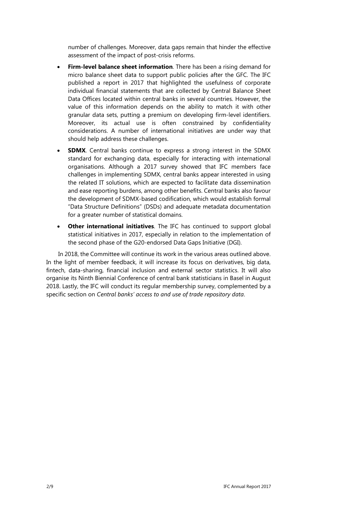number of challenges. Moreover, data gaps remain that hinder the effective assessment of the impact of post-crisis reforms.

- **Firm-level balance sheet information**. There has been a rising demand for micro balance sheet data to support public policies after the GFC. The IFC published a report in 2017 that highlighted the usefulness of corporate individual financial statements that are collected by Central Balance Sheet Data Offices located within central banks in several countries. However, the value of this information depends on the ability to match it with other granular data sets, putting a premium on developing firm-level identifiers. Moreover, its actual use is often constrained by confidentiality considerations. A number of international initiatives are under way that should help address these challenges.
- **SDMX**. Central banks continue to express a strong interest in the SDMX standard for exchanging data, especially for interacting with international organisations. Although a 2017 survey showed that IFC members face challenges in implementing SDMX, central banks appear interested in using the related IT solutions, which are expected to facilitate data dissemination and ease reporting burdens, among other benefits. Central banks also favour the development of SDMX-based codification, which would establish formal "Data Structure Definitions" (DSDs) and adequate metadata documentation for a greater number of statistical domains.
- **Other international initiatives**. The IFC has continued to support global statistical initiatives in 2017, especially in relation to the implementation of the second phase of the G20-endorsed Data Gaps Initiative (DGI).

In 2018, the Committee will continue its work in the various areas outlined above. In the light of member feedback, it will increase its focus on derivatives, big data, fintech, data-sharing, financial inclusion and external sector statistics. It will also organise its Ninth Biennial Conference of central bank statisticians in Basel in August 2018. Lastly, the IFC will conduct its regular membership survey, complemented by a specific section on *Central banks' access to and use of trade repository data*.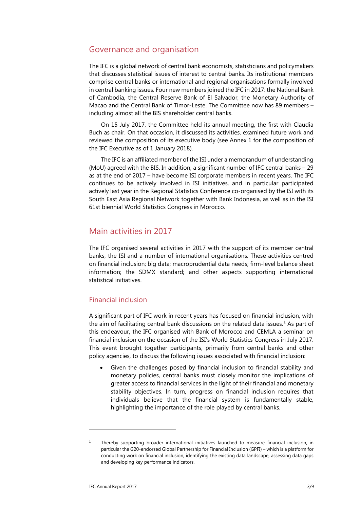### <span id="page-6-0"></span>Governance and organisation

The IFC is a global network of central bank economists, statisticians and policymakers that discusses statistical issues of interest to central banks. Its institutional members comprise central banks or international and regional organisations formally involved in central banking issues. Four new members joined the IFC in 2017: the National Bank of Cambodia, the Central Reserve Bank of El Salvador, the Monetary Authority of Macao and the Central Bank of Timor-Leste. The Committee now has 89 members – including almost all the BIS shareholder central banks.

On 15 July 2017, the Committee held its annual meeting, the first with Claudia Buch as chair. On that occasion, it discussed its activities, examined future work and reviewed the composition of its executive body (see Annex 1 for the composition of the IFC Executive as of 1 January 2018).

The IFC is an affiliated member of the ISI under a memorandum of understanding (MoU) agreed with the BIS. In addition, a significant number of IFC central banks – 29 as at the end of 2017 – have become ISI corporate members in recent years. The IFC continues to be actively involved in ISI initiatives, and in particular participated actively last year in the Regional Statistics Conference co-organised by the ISI with its South East Asia Regional Network together with Bank Indonesia, as well as in the ISI 61st biennial World Statistics Congress in Morocco.

### <span id="page-6-1"></span>Main activities in 2017

The IFC organised several activities in 2017 with the support of its member central banks, the ISI and a number of international organisations. These activities centred on financial inclusion; big data; macroprudential data needs; firm-level balance sheet information; the SDMX standard; and other aspects supporting international statistical initiatives.

### <span id="page-6-2"></span>Financial inclusion

A significant part of IFC work in recent years has focused on financial inclusion, with the aim of facilitating central bank discussions on the related data issues.<sup>[1](#page-6-3)</sup> As part of this endeavour, the IFC organised with Bank of Morocco and CEMLA a seminar on financial inclusion on the occasion of the ISI's World Statistics Congress in July 2017. This event brought together participants, primarily from central banks and other policy agencies, to discuss the following issues associated with financial inclusion:

• Given the challenges posed by financial inclusion to financial stability and monetary policies, central banks must closely monitor the implications of greater access to financial services in the light of their financial and monetary stability objectives. In turn, progress on financial inclusion requires that individuals believe that the financial system is fundamentally stable, highlighting the importance of the role played by central banks.

<span id="page-6-3"></span><sup>&</sup>lt;sup>1</sup> Thereby supporting broader international initiatives launched to measure financial inclusion, in particular the G20-endorsed Global Partnership for Financial Inclusion (GPFI) – which is a platform for conducting work on financial inclusion, identifying the existing data landscape, assessing data gaps and developing key performance indicators.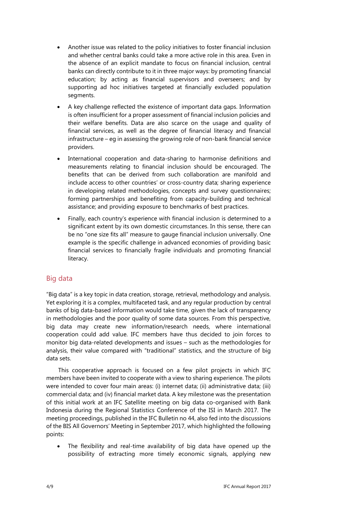- Another issue was related to the policy initiatives to foster financial inclusion and whether central banks could take a more active role in this area. Even in the absence of an explicit mandate to focus on financial inclusion, central banks can directly contribute to it in three major ways: by promoting financial education; by acting as financial supervisors and overseers; and by supporting ad hoc initiatives targeted at financially excluded population segments.
- A key challenge reflected the existence of important data gaps. Information is often insufficient for a proper assessment of financial inclusion policies and their welfare benefits. Data are also scarce on the usage and quality of financial services, as well as the degree of financial literacy and financial infrastructure – eg in assessing the growing role of non-bank financial service providers.
- International cooperation and data-sharing to harmonise definitions and measurements relating to financial inclusion should be encouraged. The benefits that can be derived from such collaboration are manifold and include access to other countries' or cross-country data; sharing experience in developing related methodologies, concepts and survey questionnaires; forming partnerships and benefiting from capacity-building and technical assistance; and providing exposure to benchmarks of best practices.
- Finally, each country's experience with financial inclusion is determined to a significant extent by its own domestic circumstances. In this sense, there can be no "one size fits all" measure to gauge financial inclusion universally. One example is the specific challenge in advanced economies of providing basic financial services to financially fragile individuals and promoting financial literacy.

#### <span id="page-7-0"></span>Big data

"Big data" is a key topic in data creation, storage, retrieval, methodology and analysis. Yet exploring it is a complex, multifaceted task, and any regular production by central banks of big data-based information would take time, given the lack of transparency in methodologies and the poor quality of some data sources. From this perspective, big data may create new information/research needs, where international cooperation could add value. IFC members have thus decided to join forces to monitor big data-related developments and issues – such as the methodologies for analysis, their value compared with "traditional" statistics, and the structure of big data sets.

This cooperative approach is focused on a few pilot projects in which IFC members have been invited to cooperate with a view to sharing experience. The pilots were intended to cover four main areas: (i) internet data; (ii) administrative data; (iii) commercial data; and (iv) financial market data. A key milestone was the presentation of this initial work at an IFC Satellite meeting on big data co-organised with Bank Indonesia during the Regional Statistics Conference of the ISI in March 2017. The meeting proceedings, published in the IFC Bulletin no 44, also fed into the discussions of the BIS All Governors' Meeting in September 2017, which highlighted the following points:

The flexibility and real-time availability of big data have opened up the possibility of extracting more timely economic signals, applying new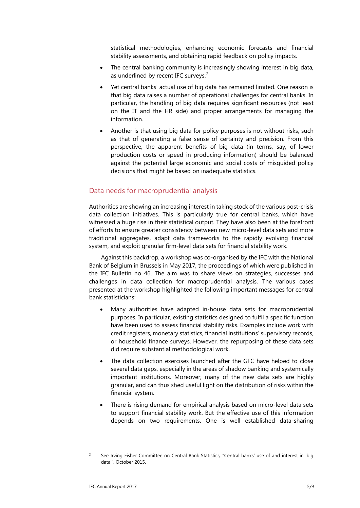statistical methodologies, enhancing economic forecasts and financial stability assessments, and obtaining rapid feedback on policy impacts.

- The central banking community is increasingly showing interest in big data, as underlined by recent IFC surveys.<sup>[2](#page-8-1)</sup>
- Yet central banks' actual use of big data has remained limited. One reason is that big data raises a number of operational challenges for central banks. In particular, the handling of big data requires significant resources (not least on the IT and the HR side) and proper arrangements for managing the information.
- Another is that using big data for policy purposes is not without risks, such as that of generating a false sense of certainty and precision. From this perspective, the apparent benefits of big data (in terms, say, of lower production costs or speed in producing information) should be balanced against the potential large economic and social costs of misguided policy decisions that might be based on inadequate statistics.

#### <span id="page-8-0"></span>Data needs for macroprudential analysis

Authorities are showing an increasing interest in taking stock of the various post-crisis data collection initiatives. This is particularly true for central banks, which have witnessed a huge rise in their statistical output. They have also been at the forefront of efforts to ensure greater consistency between new micro-level data sets and more traditional aggregates, adapt data frameworks to the rapidly evolving financial system, and exploit granular firm-level data sets for financial stability work.

Against this backdrop, a workshop was co-organised by the IFC with the National Bank of Belgium in Brussels in May 2017, the proceedings of which were published in the IFC Bulletin no 46. The aim was to share views on strategies, successes and challenges in data collection for macroprudential analysis. The various cases presented at the workshop highlighted the following important messages for central bank statisticians:

- Many authorities have adapted in-house data sets for macroprudential purposes. In particular, existing statistics designed to fulfil a specific function have been used to assess financial stability risks. Examples include work with credit registers, monetary statistics, financial institutions' supervisory records, or household finance surveys. However, the repurposing of these data sets did require substantial methodological work.
- The data collection exercises launched after the GFC have helped to close several data gaps, especially in the areas of shadow banking and systemically important institutions. Moreover, many of the new data sets are highly granular, and can thus shed useful light on the distribution of risks within the financial system.
- There is rising demand for empirical analysis based on micro-level data sets to support financial stability work. But the effective use of this information depends on two requirements. One is well established data-sharing

<span id="page-8-1"></span><sup>&</sup>lt;sup>2</sup> See Irving Fisher Committee on Central Bank Statistics, "Central banks' use of and interest in 'big data'", October 2015.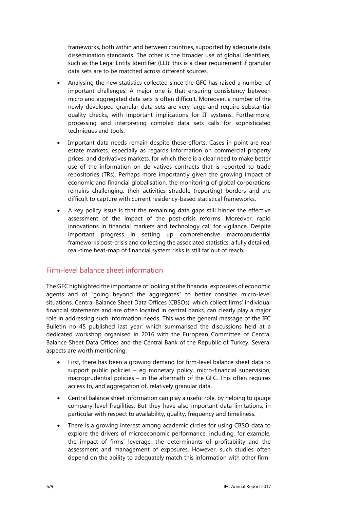frameworks, both within and between countries, supported by adequate data dissemination standards. The other is the broader use of global identifiers, such as the Legal Entity Identifier (LEI): this is a clear requirement if granular data sets are to be matched across different sources.

- Analysing the new statistics collected since the GFC has raised a number of important challenges. A major one is that ensuring consistency between micro and aggregated data sets is often difficult. Moreover, a number of the newly developed granular data sets are very large and require substantial quality checks, with important implications for IT systems. Furthermore, processing and interpreting complex data sets calls for sophisticated techniques and tools.
- Important data needs remain despite these efforts. Cases in point are real estate markets, especially as regards information on commercial property prices, and derivatives markets, for which there is a clear need to make better use of the information on derivatives contracts that is reported to trade repositories (TRs). Perhaps more importantly given the growing impact of economic and financial globalisation, the monitoring of global corporations remains challenging: their activities straddle (reporting) borders and are difficult to capture with current residency-based statistical frameworks.
- A key policy issue is that the remaining data gaps still hinder the effective assessment of the impact of the post-crisis reforms. Moreover, rapid innovations in financial markets and technology call for vigilance. Despite important progress in setting up comprehensive macroprudential frameworks post-crisis and collecting the associated statistics, a fully detailed, real-time heat-map of financial system risks is still far out of reach.

#### <span id="page-9-0"></span>Firm-level balance sheet information

The GFC highlighted the importance of looking at the financial exposures of economic agents and of "going beyond the aggregates" to better consider micro-level situations. Central Balance Sheet Data Offices (CBSOs), which collect firms' individual financial statements and are often located in central banks, can clearly play a major role in addressing such information needs. This was the general message of the IFC Bulletin no 45 published last year, which summarised the discussions held at a dedicated workshop organised in 2016 with the European Committee of Central Balance Sheet Data Offices and the Central Bank of the Republic of Turkey. Several aspects are worth mentioning:

- First, there has been a growing demand for firm-level balance sheet data to support public policies – eg monetary policy, micro-financial supervision, macroprudential policies – in the aftermath of the GFC. This often requires access to, and aggregation of, relatively granular data.
- Central balance sheet information can play a useful role, by helping to gauge company-level fragilities. But they have also important data limitations, in particular with respect to availability, quality, frequency and timeliness.
- There is a growing interest among academic circles for using CBSO data to explore the drivers of microeconomic performance, including, for example, the impact of firms' leverage, the determinants of profitability and the assessment and management of exposures. However, such studies often depend on the ability to adequately match this information with other firm-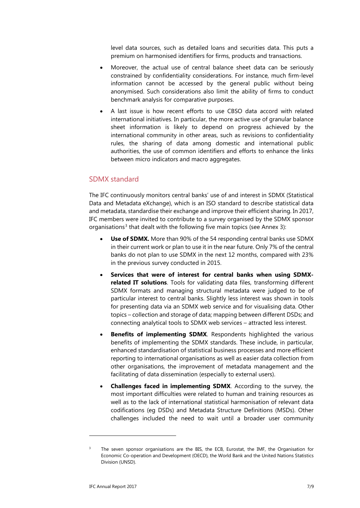level data sources, such as detailed loans and securities data. This puts a premium on harmonised identifiers for firms, products and transactions.

- Moreover, the actual use of central balance sheet data can be seriously constrained by confidentiality considerations. For instance, much firm-level information cannot be accessed by the general public without being anonymised. Such considerations also limit the ability of firms to conduct benchmark analysis for comparative purposes.
- A last issue is how recent efforts to use CBSO data accord with related international initiatives. In particular, the more active use of granular balance sheet information is likely to depend on progress achieved by the international community in other areas, such as revisions to confidentiality rules, the sharing of data among domestic and international public authorities, the use of common identifiers and efforts to enhance the links between micro indicators and macro aggregates.

#### <span id="page-10-0"></span>SDMX standard

The IFC continuously monitors central banks' use of and interest in SDMX (Statistical Data and Metadata eXchange), which is an ISO standard to describe statistical data and metadata, standardise their exchange and improve their efficient sharing. In 2017, IFC members were invited to contribute to a survey organised by the SDMX sponsor organisations<sup>[3](#page-10-1)</sup> that dealt with the following five main topics (see Annex 3):

- **Use of SDMX.** More than 90% of the 54 responding central banks use SDMX in their current work or plan to use it in the near future. Only 7% of the central banks do not plan to use SDMX in the next 12 months, compared with 23% in the previous survey conducted in 2015.
- **Services that were of interest for central banks when using SDMXrelated IT solutions**. Tools for validating data files, transforming different SDMX formats and managing structural metadata were judged to be of particular interest to central banks. Slightly less interest was shown in tools for presenting data via an SDMX web service and for visualising data. Other topics – collection and storage of data; mapping between different DSDs; and connecting analytical tools to SDMX web services – attracted less interest.
- **Benefits of implementing SDMX**. Respondents highlighted the various benefits of implementing the SDMX standards. These include, in particular, enhanced standardisation of statistical business processes and more efficient reporting to international organisations as well as easier data collection from other organisations, the improvement of metadata management and the facilitating of data dissemination (especially to external users).
- **Challenges faced in implementing SDMX**. According to the survey, the most important difficulties were related to human and training resources as well as to the lack of international statistical harmonisation of relevant data codifications (eg DSDs) and Metadata Structure Definitions (MSDs). Other challenges included the need to wait until a broader user community

-

<span id="page-10-1"></span>The seven sponsor organisations are the BIS, the ECB, Eurostat, the IMF, the Organisation for Economic Co-operation and Development (OECD), the World Bank and the United Nations Statistics Division (UNSD).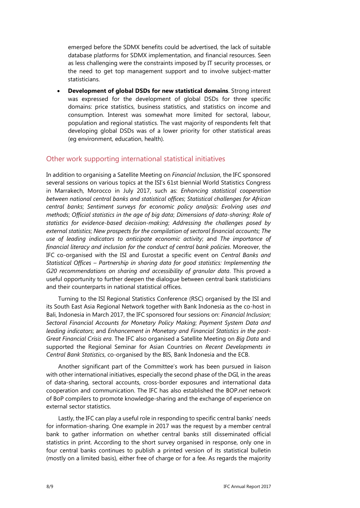emerged before the SDMX benefits could be advertised, the lack of suitable database platforms for SDMX implementation, and financial resources. Seen as less challenging were the constraints imposed by IT security processes, or the need to get top management support and to involve subject-matter statisticians.

• **Development of global DSDs for new statistical domains**. Strong interest was expressed for the development of global DSDs for three specific domains: price statistics, business statistics, and statistics on income and consumption. Interest was somewhat more limited for sectoral, labour, population and regional statistics. The vast majority of respondents felt that developing global DSDs was of a lower priority for other statistical areas (eg environment, education, health).

#### <span id="page-11-0"></span>Other work supporting international statistical initiatives

In addition to organising a Satellite Meeting on *Financial Inclusion*, the IFC sponsored several sessions on various topics at the ISI's 61st biennial World Statistics Congress in Marrakech, Morocco in July 2017, such as: *Enhancing statistical cooperation between national central banks and statistical offices*; *Statistical challenges for African central banks*; *Sentiment surveys for economic policy analysis: Evolving uses and methods*; *Official statistics in the age of big data*; *Dimensions of data-sharing; Role of statistics for evidence-based decision-making*; *Addressing the challenges posed by external statistics*; *New prospects for the compilation of sectoral financial accounts*; *The use of leading indicators to anticipate economic activity*; and *The importance of financial literacy and inclusion for the conduct of central bank policies*. Moreover, the IFC co-organised with the ISI and Eurostat a specific event on *Central Banks and Statistical Offices – Partnership in sharing data for good statistics: Implementing the G20 recommendations on sharing and accessibility of granular data*. This proved a useful opportunity to further deepen the dialogue between central bank statisticians and their counterparts in national statistical offices.

Turning to the ISI Regional Statistics Conference (RSC) organised by the ISI and its South East Asia Regional Network together with Bank Indonesia as the co-host in Bali, Indonesia in March 2017, the IFC sponsored four sessions on: *Financial Inclusion*; *Sectoral Financial Accounts for Monetary Policy Making*; *Payment System Data and leading indicators*; and *Enhancement in Monetary and Financial Statistics in the post-Great Financial Crisis era*. The IFC also organised a Satellite Meeting on *Big Data* and supported the Regional Seminar for Asian Countries on *Recent Developments in Central Bank Statistics*, co-organised by the BIS, Bank Indonesia and the ECB.

Another significant part of the Committee's work has been pursued in liaison with other international initiatives, especially the second phase of the DGI, in the areas of data-sharing, sectoral accounts, cross-border exposures and international data cooperation and communication. The IFC has also established the BOP.*net* network of BoP compilers to promote knowledge-sharing and the exchange of experience on external sector statistics.

Lastly, the IFC can play a useful role in responding to specific central banks' needs for information-sharing. One example in 2017 was the request by a member central bank to gather information on whether central banks still disseminated official statistics in print. According to the short survey organised in response, only one in four central banks continues to publish a printed version of its statistical bulletin (mostly on a limited basis), either free of charge or for a fee. As regards the majority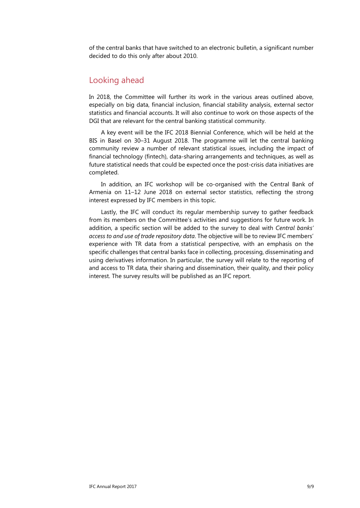of the central banks that have switched to an electronic bulletin, a significant number decided to do this only after about 2010.

#### <span id="page-12-0"></span>Looking ahead

In 2018, the Committee will further its work in the various areas outlined above, especially on big data, financial inclusion, financial stability analysis, external sector statistics and financial accounts. It will also continue to work on those aspects of the DGI that are relevant for the central banking statistical community.

A key event will be the IFC 2018 Biennial Conference, which will be held at the BIS in Basel on 30–31 August 2018. The programme will let the central banking community review a number of relevant statistical issues, including the impact of financial technology (fintech), data-sharing arrangements and techniques, as well as future statistical needs that could be expected once the post-crisis data initiatives are completed.

In addition, an IFC workshop will be co-organised with the Central Bank of Armenia on 11–12 June 2018 on external sector statistics, reflecting the strong interest expressed by IFC members in this topic.

Lastly, the IFC will conduct its regular membership survey to gather feedback from its members on the Committee's activities and suggestions for future work. In addition, a specific section will be added to the survey to deal with *Central banks' access to and use of trade repository data*. The objective will be to review IFC members' experience with TR data from a statistical perspective, with an emphasis on the specific challenges that central banks face in collecting, processing, disseminating and using derivatives information. In particular, the survey will relate to the reporting of and access to TR data, their sharing and dissemination, their quality, and their policy interest. The survey results will be published as an IFC report.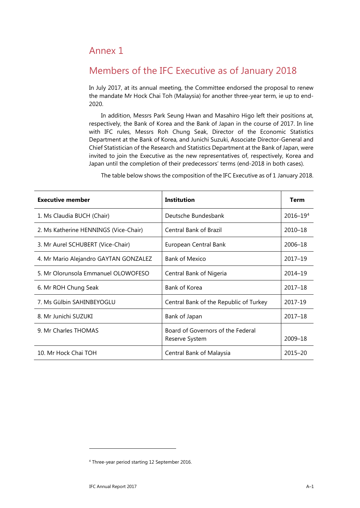## <span id="page-14-0"></span>Annex 1

# <span id="page-14-1"></span>Members of the IFC Executive as of January 2018

In July 2017, at its annual meeting, the Committee endorsed the proposal to renew the mandate Mr Hock Chai Toh (Malaysia) for another three-year term, ie up to end-2020.

In addition, Messrs Park Seung Hwan and Masahiro Higo left their positions at, respectively, the Bank of Korea and the Bank of Japan in the course of 2017. In line with IFC rules, Messrs Roh Chung Seak, Director of the Economic Statistics Department at the Bank of Korea, and Junichi Suzuki, Associate Director-General and Chief Statistician of the Research and Statistics Department at the Bank of Japan, were invited to join the Executive as the new representatives of, respectively, Korea and Japan until the completion of their predecessors' terms (end-2018 in both cases).

| <b>Executive member</b>               | <b>Institution</b>                                  | <b>Term</b>  |
|---------------------------------------|-----------------------------------------------------|--------------|
| 1. Ms Claudia BUCH (Chair)            | Deutsche Bundesbank                                 | $2016 - 194$ |
| 2. Ms Katherine HENNINGS (Vice-Chair) | <b>Central Bank of Brazil</b>                       | 2010-18      |
| 3. Mr Aurel SCHUBERT (Vice-Chair)     | European Central Bank                               | 2006-18      |
| 4. Mr Mario Alejandro GAYTAN GONZALEZ | <b>Bank of Mexico</b>                               | 2017-19      |
| 5. Mr Olorunsola Emmanuel OLOWOFESO   | Central Bank of Nigeria                             | 2014-19      |
| 6. Mr ROH Chung Seak                  | Bank of Korea                                       | 2017-18      |
| 7. Ms Gülbin SAHINBEYOGLU             | Central Bank of the Republic of Turkey              | 2017-19      |
| 8. Mr Junichi SUZUKI                  | Bank of Japan                                       | 2017-18      |
| 9. Mr Charles THOMAS                  | Board of Governors of the Federal<br>Reserve System | 2009-18      |
| 10. Mr Hock Chai TOH                  | Central Bank of Malaysia                            | $2015 - 20$  |

The table below shows the composition of the IFC Executive as of 1 January 2018.

<span id="page-14-2"></span><sup>4</sup> Three-year period starting 12 September 2016.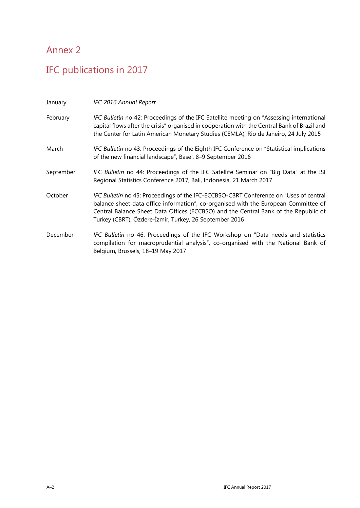# <span id="page-15-0"></span>Annex 2

# <span id="page-15-1"></span>IFC publications in 2017

| January   | IFC 2016 Annual Report                                                                                                                                                                                                                                                                                                        |
|-----------|-------------------------------------------------------------------------------------------------------------------------------------------------------------------------------------------------------------------------------------------------------------------------------------------------------------------------------|
| February  | IFC Bulletin no 42: Proceedings of the IFC Satellite meeting on "Assessing international<br>capital flows after the crisis" organised in cooperation with the Central Bank of Brazil and<br>the Center for Latin American Monetary Studies (CEMLA), Rio de Janeiro, 24 July 2015                                              |
| March     | IFC Bulletin no 43: Proceedings of the Eighth IFC Conference on "Statistical implications<br>of the new financial landscape", Basel, 8-9 September 2016                                                                                                                                                                       |
| September | IFC Bulletin no 44: Proceedings of the IFC Satellite Seminar on "Big Data" at the ISI<br>Regional Statistics Conference 2017, Bali, Indonesia, 21 March 2017                                                                                                                                                                  |
| October   | IFC Bulletin no 45: Proceedings of the IFC-ECCBSO-CBRT Conference on "Uses of central<br>balance sheet data office information", co-organised with the European Committee of<br>Central Balance Sheet Data Offices (ECCBSO) and the Central Bank of the Republic of<br>Turkey (CBRT), Özdere-İzmir, Turkey, 26 September 2016 |
| December  | IFC Bulletin no 46: Proceedings of the IFC Workshop on "Data needs and statistics<br>compilation for macroprudential analysis", co-organised with the National Bank of<br>Belgium, Brussels, 18-19 May 2017                                                                                                                   |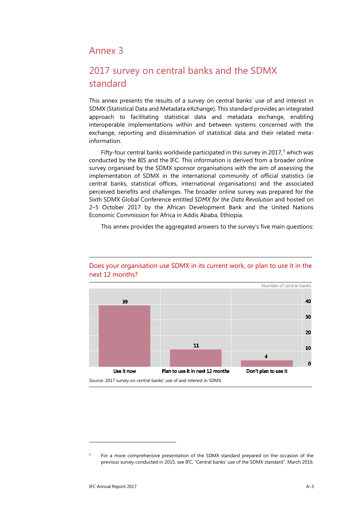## <span id="page-16-0"></span>Annex 3

## <span id="page-16-1"></span>2017 survey on central banks and the SDMX standard

This annex presents the results of a survey on central banks' use of and interest in SDMX (Statistical Data and Metadata eXchange). This standard provides an integrated approach to facilitating statistical data and metadata exchange, enabling interoperable implementations within and between systems concerned with the exchange, reporting and dissemination of statistical data and their related metainformation.

Fifty-four central banks worldwide participated in this survey in  $2017<sup>5</sup>$  $2017<sup>5</sup>$  $2017<sup>5</sup>$  which was conducted by the BIS and the IFC. This information is derived from a broader online survey organised by the SDMX sponsor organisations with the aim of assessing the implementation of SDMX in the international community of official statistics (ie central banks, statistical offices, international organisations) and the associated perceived benefits and challenges. The broader online survey was prepared for the Sixth SDMX Global Conference entitled *SDMX for the Data Revolution* and hosted on 2–5 October 2017 by the African Development Bank and the United Nations Economic Commission for Africa in Addis Ababa, Ethiopia.

This annex provides the aggregated answers to the survey's five main questions:



#### Does your organisation use SDMX in its current work, or plan to use it in the next 12 months?

Source: 2017 survey on central banks' use of and interest in SDMX.

<span id="page-16-2"></span><sup>&</sup>lt;sup>5</sup> For a more comprehensive presentation of the SDMX standard prepared on the occasion of the previous survey conducted in 2015, see IFC, "Central banks' use of the SDMX standard", March 2016.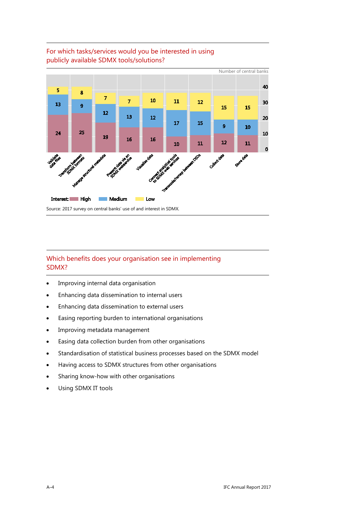

#### For which tasks/services would you be interested in using publicly available SDMX tools/solutions?

#### Which benefits does your organisation see in implementing SDMX?

- Improving internal data organisation
- Enhancing data dissemination to internal users
- Enhancing data dissemination to external users
- Easing reporting burden to international organisations
- Improving metadata management
- Easing data collection burden from other organisations
- Standardisation of statistical business processes based on the SDMX model
- Having access to SDMX structures from other organisations
- Sharing know-how with other organisations
- Using SDMX IT tools